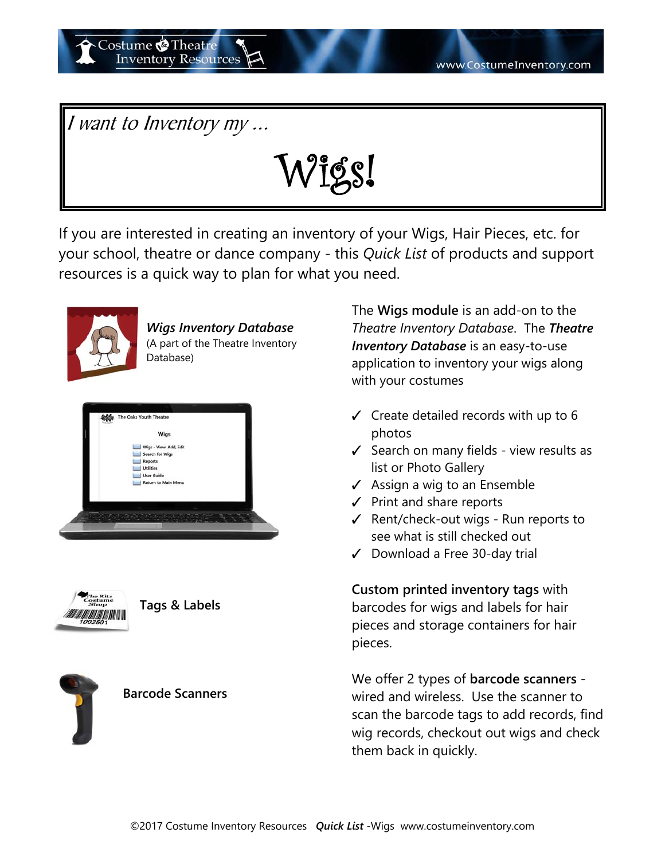I want to Inventory my ...

Costume **O**Theatre

**Inventory Resources** 

Wigs!

If you are interested in creating an inventory of your Wigs, Hair Pieces, etc. for your school, theatre or dance company - this *Quick List* of products and support resources is a quick way to plan for what you need.



*Wigs Inventory Database*  (A part of the Theatre Inventory Database)





## **Tags & Labels**



## **Barcode Scanners**

The **Wigs module** is an add-on to the *Theatre Inventory Database*. The *Theatre Inventory Database* is an easy-to-use application to inventory your wigs along with your costumes

- $\checkmark$  Create detailed records with up to 6 photos
- $\checkmark$  Search on many fields view results as list or Photo Gallery
- $\checkmark$  Assign a wig to an Ensemble
- $\checkmark$  Print and share reports
- $\checkmark$  Rent/check-out wigs Run reports to see what is still checked out
- $\checkmark$  Download a Free 30-day trial

**Custom printed inventory tags** with barcodes for wigs and labels for hair pieces and storage containers for hair pieces.

We offer 2 types of **barcode scanners**  wired and wireless. Use the scanner to scan the barcode tags to add records, find wig records, checkout out wigs and check them back in quickly.